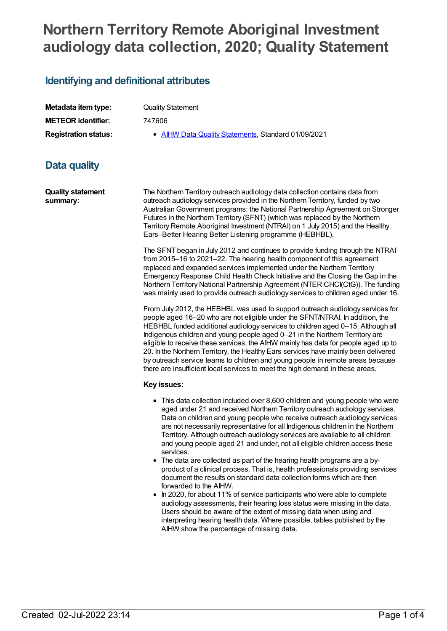# **Northern Territory Remote Aboriginal Investment audiology data collection, 2020; Quality Statement**

### **Identifying and definitional attributes**

| Metadata item type:         |
|-----------------------------|
| <b>METEOR identifier:</b>   |
| <b>Registration status:</b> |

**Quality Statement** 

**METEOR identifier:** 747606

**AIHW Data Quality [Statements](https://meteor.aihw.gov.au/RegistrationAuthority/5), Standard 01/09/2021** 

## **Data quality**

**Quality statement summary:**

The Northern Territory outreach audiology data collection contains data from outreach audiology services provided in the Northern Territory, funded by two AustralianGovernment programs: the National Partnership Agreement on Stronger Futures in the Northern Territory (SFNT) (which was replaced by the Northern Territory Remote Aboriginal Investment (NTRAI) on 1 July 2015) and the Healthy Ears–Better Hearing Better Listening programme (HEBHBL).

The SFNT began in July 2012 and continues to provide funding through the NTRAI from 2015–16 to 2021–22. The hearing health component of this agreement replaced and expanded services implemented under the Northern Territory Emergency Response Child Health Check Initiative and the Closing the Gap in the Northern Territory National Partnership Agreement (NTER CHCI(CtG)). The funding was mainly used to provide outreach audiology services to children aged under 16.

From July 2012, the HEBHBL was used to support outreach audiology services for people aged 16–20 who are not eligible under the SFNT/NTRAI. In addition, the HEBHBL funded additional audiology services to children aged 0–15. Although all Indigenous children and young people aged 0–21 in the Northern Territory are eligible to receive these services, the AIHW mainly has data for people aged up to 20. In the Northern Territory, the Healthy Ears services have mainly been delivered by outreach service teams to children and young people in remote areas because there are insufficient local services to meet the high demand in these areas.

#### **Key issues:**

- This data collection included over 8,600 children and young people who were aged under 21 and received Northern Territory outreach audiology services. Data on children and young people who receive outreach audiology services are not necessarily representative for all Indigenous children in the Northern Territory. Although outreach audiology services are available to all children and young people aged 21 and under, not all eligible children access these services.
- The data are collected as part of the hearing health programs are a byproduct of a clinical process. That is, health professionals providing services document the results on standard data collection forms which are then forwarded to the AIHW.
- In 2020, for about 11% of service participants who were able to complete audiology assessments, their hearing loss status were missing in the data. Users should be aware of the extent of missing data when using and interpreting hearing health data. Where possible, tables published by the AIHW show the percentage of missing data.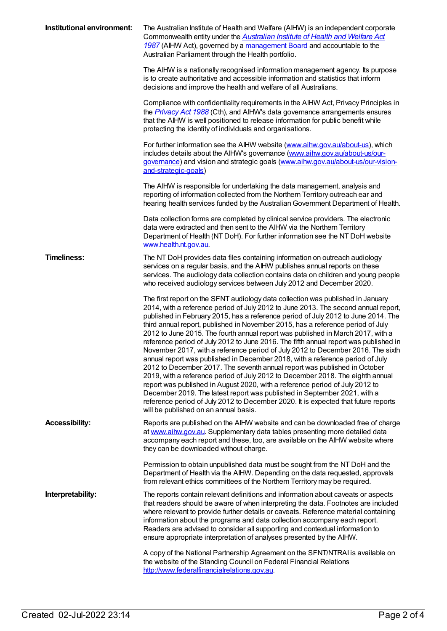| Institutional environment: | The Australian Institute of Health and Welfare (AIHW) is an independent corporate<br>Commonwealth entity under the <b>Australian Institute of Health and Welfare Act</b><br>1987 (AIHW Act), governed by a management Board and accountable to the<br>Australian Parliament through the Health portfolio.                                                                                                                                                                                                                                                                                                                                                                                                                                                                                                                                                                                                                                                                                                                                                                                                                                              |
|----------------------------|--------------------------------------------------------------------------------------------------------------------------------------------------------------------------------------------------------------------------------------------------------------------------------------------------------------------------------------------------------------------------------------------------------------------------------------------------------------------------------------------------------------------------------------------------------------------------------------------------------------------------------------------------------------------------------------------------------------------------------------------------------------------------------------------------------------------------------------------------------------------------------------------------------------------------------------------------------------------------------------------------------------------------------------------------------------------------------------------------------------------------------------------------------|
|                            | The AIHW is a nationally recognised information management agency. Its purpose<br>is to create authoritative and accessible information and statistics that inform<br>decisions and improve the health and welfare of all Australians.                                                                                                                                                                                                                                                                                                                                                                                                                                                                                                                                                                                                                                                                                                                                                                                                                                                                                                                 |
|                            | Compliance with confidentiality requirements in the AIHW Act, Privacy Principles in<br>the <b>Privacy Act 1988</b> (Cth), and AIHW's data governance arrangements ensures<br>that the AIHW is well positioned to release information for public benefit while<br>protecting the identity of individuals and organisations.                                                                                                                                                                                                                                                                                                                                                                                                                                                                                                                                                                                                                                                                                                                                                                                                                             |
|                            | For further information see the AIHW website (www.aihw.gov.au/about-us), which<br>includes details about the AIHW's governance (www.aihw.gov.au/about-us/our-<br>governance) and vision and strategic goals (www.aihw.gov.au/about-us/our-vision-<br>and-strategic-goals)                                                                                                                                                                                                                                                                                                                                                                                                                                                                                                                                                                                                                                                                                                                                                                                                                                                                              |
|                            | The AIHW is responsible for undertaking the data management, analysis and<br>reporting of information collected from the Northern Territory outreach ear and<br>hearing health services funded by the Australian Government Department of Health.                                                                                                                                                                                                                                                                                                                                                                                                                                                                                                                                                                                                                                                                                                                                                                                                                                                                                                      |
|                            | Data collection forms are completed by clinical service providers. The electronic<br>data were extracted and then sent to the AIHW via the Northern Territory<br>Department of Health (NT DoH). For further information see the NT DoH website<br>www.health.nt.gov.au.                                                                                                                                                                                                                                                                                                                                                                                                                                                                                                                                                                                                                                                                                                                                                                                                                                                                                |
| <b>Timeliness:</b>         | The NT DoH provides data files containing information on outreach audiology<br>services on a regular basis, and the AIHW publishes annual reports on these<br>services. The audiology data collection contains data on children and young people<br>who received audiology services between July 2012 and December 2020.                                                                                                                                                                                                                                                                                                                                                                                                                                                                                                                                                                                                                                                                                                                                                                                                                               |
|                            | The first report on the SFNT audiology data collection was published in January<br>2014, with a reference period of July 2012 to June 2013. The second annual report,<br>published in February 2015, has a reference period of July 2012 to June 2014. The<br>third annual report, published in November 2015, has a reference period of July<br>2012 to June 2015. The fourth annual report was published in March 2017, with a<br>reference period of July 2012 to June 2016. The fifth annual report was published in<br>November 2017, with a reference period of July 2012 to December 2016. The sixth<br>annual report was published in December 2018, with a reference period of July<br>2012 to December 2017. The seventh annual report was published in October<br>2019, with a reference period of July 2012 to December 2018. The eighth annual<br>report was published in August 2020, with a reference period of July 2012 to<br>December 2019. The latest report was published in September 2021, with a<br>reference period of July 2012 to December 2020. It is expected that future reports<br>will be published on an annual basis. |
| <b>Accessibility:</b>      | Reports are published on the AIHW website and can be downloaded free of charge<br>at www.aihw.gov.au. Supplementary data tables presenting more detailed data<br>accompany each report and these, too, are available on the AIHW website where<br>they can be downloaded without charge.                                                                                                                                                                                                                                                                                                                                                                                                                                                                                                                                                                                                                                                                                                                                                                                                                                                               |
|                            | Permission to obtain unpublished data must be sought from the NT DoH and the<br>Department of Health via the AIHW. Depending on the data requested, approvals<br>from relevant ethics committees of the Northern Territory may be required.                                                                                                                                                                                                                                                                                                                                                                                                                                                                                                                                                                                                                                                                                                                                                                                                                                                                                                            |
| Interpretability:          | The reports contain relevant definitions and information about caveats or aspects<br>that readers should be aware of when interpreting the data. Footnotes are included<br>where relevant to provide further details or caveats. Reference material containing<br>information about the programs and data collection accompany each report.<br>Readers are advised to consider all supporting and contextual information to<br>ensure appropriate interpretation of analyses presented by the AIHW.                                                                                                                                                                                                                                                                                                                                                                                                                                                                                                                                                                                                                                                    |
|                            | A copy of the National Partnership Agreement on the SFNT/NTRAI is available on<br>the website of the Standing Council on Federal Financial Relations<br>http://www.federalfinancialrelations.gov.au.                                                                                                                                                                                                                                                                                                                                                                                                                                                                                                                                                                                                                                                                                                                                                                                                                                                                                                                                                   |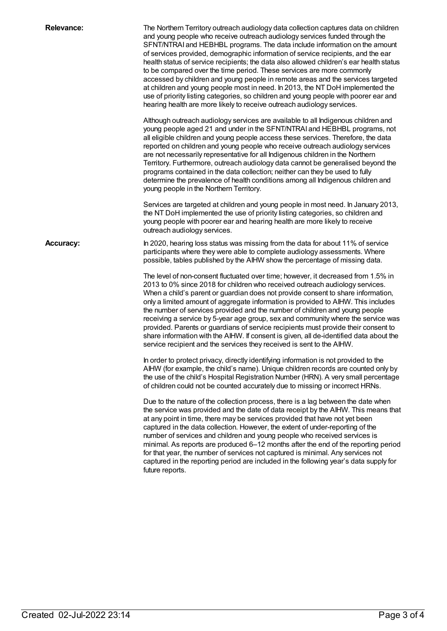Relevance: The Northern Territory outreach audiology data collection captures data on children and young people who receive outreach audiology services funded through the SFNT/NTRAI and HEBHBL programs. The data include information on the amount of services provided, demographic information of service recipients, and the ear health status of service recipients; the data also allowed children's ear health status to be compared over the time period. These services are more commonly accessed by children and young people in remote areas and the services targeted at children and young people most in need. In 2013, the NT DoH implemented the use of priority listing categories, so children and young people with poorer ear and hearing health are more likely to receive outreach audiology services. Although outreach audiology services are available to all Indigenous children and young people aged 21 and under in the SFNT/NTRAI and HEBHBL programs, not all eligible children and young people access these services. Therefore, the data reported on children and young people who receive outreach audiology services are not necessarily representative for all Indigenous children in the Northern Territory. Furthermore, outreach audiology data cannot be generalised beyond the programs contained in the data collection; neither can they be used to fully determine the prevalence of health conditions among all Indigenous children and young people in the Northern Territory. Services are targeted at children and young people in most need. In January 2013, the NT DoH implemented the use of priority listing categories, so children and young people with poorer ear and hearing health are more likely to receive outreach audiology services. **Accuracy:** In 2020, hearing loss status was missing from the data for about 11% of service participants where they were able to complete audiology assessments. Where possible, tables published by the AIHW show the percentage of missing data. The level of non-consent fluctuated over time; however, it decreased from 1.5% in 2013 to 0% since 2018 for children who received outreach audiology services. When a child's parent or guardian does not provide consent to share information, only a limited amount of aggregate information is provided to AIHW. This includes the number of services provided and the number of children and young people receiving a service by 5-year age group, sex and community where the service was provided. Parents or guardians of service recipients must provide their consent to share information with the AIHW. If consent is given, all de-identified data about the service recipient and the services they received is sent to the AIHW. In order to protect privacy, directly identifying information is not provided to the AIHW (for example, the child's name). Unique children records are counted only by the use of the child's Hospital Registration Number (HRN). A very small percentage of children could not be counted accurately due to missing or incorrect HRNs. Due to the nature of the collection process, there is a lag between the date when the service was provided and the date of data receipt by the AIHW. This means that at any point in time, there may be services provided that have not yet been captured in the data collection. However, the extent of under-reporting of the number of services and children and young people who received services is minimal. As reports are produced 6–12 months after the end of the reporting period for that year, the number of services not captured is minimal. Any services not captured in the reporting period are included in the following year's data supply for future reports.